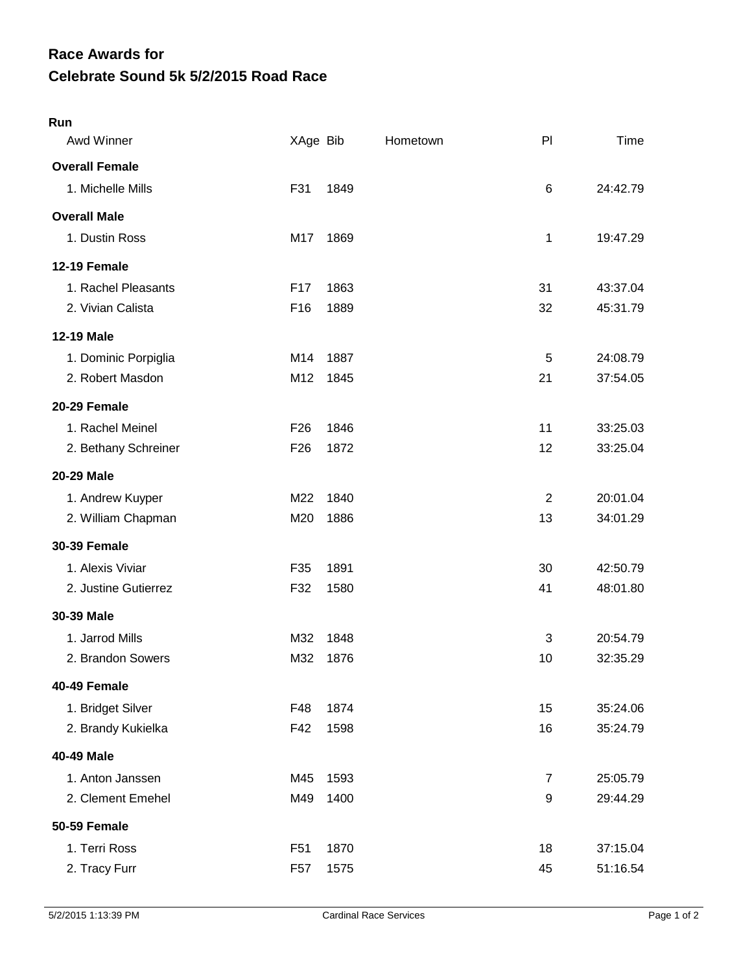## **Celebrate Sound 5k 5/2/2015 Road Race Race Awards for**

| Run                   |                 |      |          |                |          |
|-----------------------|-----------------|------|----------|----------------|----------|
| Awd Winner            | XAge Bib        |      | Hometown | P <sub>1</sub> | Time     |
| <b>Overall Female</b> |                 |      |          |                |          |
| 1. Michelle Mills     | F31             | 1849 |          | 6              | 24:42.79 |
| <b>Overall Male</b>   |                 |      |          |                |          |
| 1. Dustin Ross        | M17             | 1869 |          | 1              | 19:47.29 |
| 12-19 Female          |                 |      |          |                |          |
| 1. Rachel Pleasants   | F <sub>17</sub> | 1863 |          | 31             | 43:37.04 |
| 2. Vivian Calista     | F16             | 1889 |          | 32             | 45:31.79 |
| <b>12-19 Male</b>     |                 |      |          |                |          |
| 1. Dominic Porpiglia  | M14             | 1887 |          | 5              | 24:08.79 |
| 2. Robert Masdon      | M12             | 1845 |          | 21             | 37:54.05 |
| 20-29 Female          |                 |      |          |                |          |
| 1. Rachel Meinel      | F <sub>26</sub> | 1846 |          | 11             | 33:25.03 |
| 2. Bethany Schreiner  | F <sub>26</sub> | 1872 |          | 12             | 33:25.04 |
| <b>20-29 Male</b>     |                 |      |          |                |          |
| 1. Andrew Kuyper      | M22             | 1840 |          | 2              | 20:01.04 |
| 2. William Chapman    | M20             | 1886 |          | 13             | 34:01.29 |
| <b>30-39 Female</b>   |                 |      |          |                |          |
| 1. Alexis Viviar      | F35             | 1891 |          | 30             | 42:50.79 |
| 2. Justine Gutierrez  | F32             | 1580 |          | 41             | 48:01.80 |
| 30-39 Male            |                 |      |          |                |          |
| 1. Jarrod Mills       | M32             | 1848 |          | 3              | 20:54.79 |
| 2. Brandon Sowers     | M32             | 1876 |          | 10             | 32:35.29 |
| 40-49 Female          |                 |      |          |                |          |
| 1. Bridget Silver     | F48             | 1874 |          | 15             | 35:24.06 |
| 2. Brandy Kukielka    | F42             | 1598 |          | 16             | 35:24.79 |
| 40-49 Male            |                 |      |          |                |          |
| 1. Anton Janssen      | M45             | 1593 |          | $\overline{7}$ | 25:05.79 |
| 2. Clement Emehel     | M49             | 1400 |          | 9              | 29:44.29 |
| <b>50-59 Female</b>   |                 |      |          |                |          |
| 1. Terri Ross         | F <sub>51</sub> | 1870 |          | 18             | 37:15.04 |
| 2. Tracy Furr         | F <sub>57</sub> | 1575 |          | 45             | 51:16.54 |